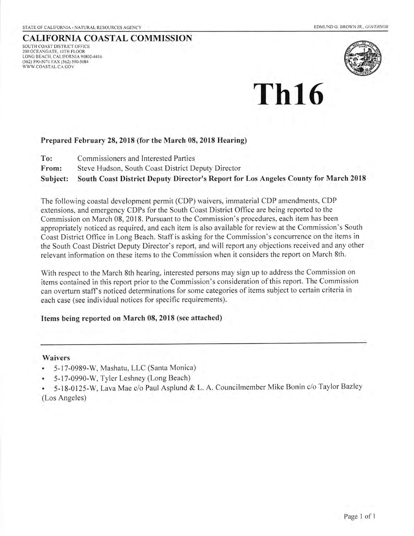# CALIFORNIA COASTAL COMMISSION

SOUTH COAST DISTRICT OFFICE 2OO OCEANCATE, IOTH FLOOR LONC BEACH. CALIFORNIA 90802.44I6 (562) 590-5071 FAX (562) 590-5084 WWW.COASTAL,CA GOV



# Th16

#### Prepared February 28,2018 (for the March 08, 2018 Hearing)

- To: Commissioners and lnterested Parties
- From: Steve Hudson, South Coast District Deputy Director

Subject: South Coast District Deputy Director's Report for Los Angeles County for March 2018

The following coastal development permit (CDP) waivers, immaterial CDP amendments, CDP extensions, and emergency CDPs for the South Coast District Office are being reported to the Commission on March 08, 2018. Pursuant to the Commission's procedures, each item has been appropriately noticed as required, and each item is also available for review at the Commission's South Coast District Oflice in Long Beach. Staffis asking for the Commission's concurrence on the items in the South Coast District Deputy Director's report, and will report any objections received and any other relevant information on these items to the Commission when it considers the report on March 8th.

With respect to the March 8th hearing, interested persons may sign up to address the Commission on items contained in this report prior to the Commission's consideration of this report. The Commission can overturn staff's noticed determinations for some categories of items subject to certain criteria in each case (see individual notices for specific requirements).

#### Items being reported on March 08, 2018 (see attached)

#### Waivers

- . 5-17-0989-W, Mashatu, LLC (Santa Monica)
- . 5-17-0990-W, Tyler Leshney (Long Beach)
- . 5-18-0125-W, Lava Mae c/o Paul Asplund & L. A. Councilmember Mike Bonin c/o Taylor Bazley (Los Angeles)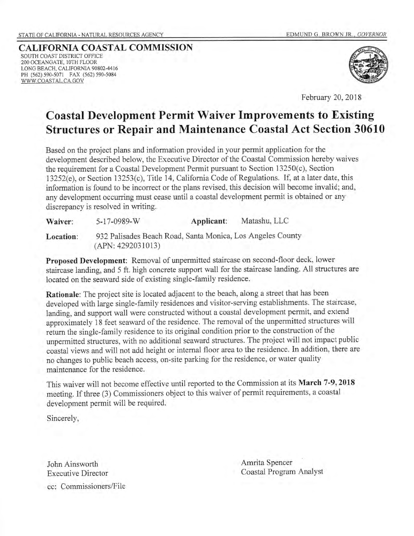CALIFORNIA COASTAL COMMISSION SOUTH COAST DISTRICT OFFICE 2OO OCEANGATE, IOTH FLOOR LONG BEACH. CAIIFORNIA 9080244I6 pH (562) s90-5071 FAX (562) s90-s084 WWW.COASTAL,CA.GOV



February 20,2018

# Coastal Development Permit Waiver Improvements to Existing Structures or Repair and Maintenance Coastal Act Section 30610

Based on the project plans and information provided in your permit application for the development described below, the Executive Director of the Coastal Commission hereby waives the requirement for a Coastal Development Permit pursuant to Section 13250(c), Section 13252(e), or Section 13253(c), Title 14, California Code of Regulations. If, at a later date, this information is found to be incorrect or the plans revised, this decision will become invalid; and, any development occurring must cease until a coastal development permit is obtained or any discrepancy is resolved in writing.

| Waiver:   | 5-17-0989-W                                                                     | Applicant: | Matashu, LLC |
|-----------|---------------------------------------------------------------------------------|------------|--------------|
| Location: | 932 Palisades Beach Road, Santa Monica, Los Angeles County<br>(APN: 4292031013) |            |              |

Proposed Development: Removal of unpermitted staircase on second-floor deck, lower staircase landing, and 5 ft. high concrete support wall for the staircase landing. All structures are located on the seaward side of existing single-family residence.

Rationale: The project site is located adjacent to the beach, along a street that has been developed with large single-family residences and visitor-serving establishments. The staircase, landing, and support wall were constructed without a coastal development permit, and extend approximately 18 feet seaward of the residence. The removal of the unpermitted structures will return the single-family residence to its original condition prior to the construction of the unpermitted structures, with no additional seaward structures. The project will not impact public coastal views and will not add height or intemal floor area to the residence. In addition, there are no changes to public beach access, on-site parking for the residence, or water quality maintenance for the residence.

This waiver will not become effective until reported to the Commission at its March 7-9, 2018 meeting. If three (3) Commissioners object to this waiver of permit requirements, a coastal development permit will be required.

Sincerely,

John Ainsworth Executive Director cc: Commissioners/File Amrita Spencer Coastal Program Analyst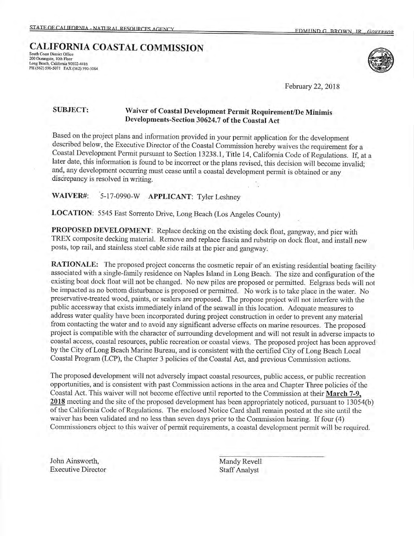## South Coast District Office 200 Oceangate, 10th Floor<br>Long Beach, California 90802-4416<br>PH (562) 590-5071 FAX (562) 590-5084 CALIFORNIA COASTAL COMMISSION



February 22, 2018

## SUBJECT: Waiver of Coastal Devclopment permit Requirement/De Minimis Developments-Se ction 30624.7 of the Coastal Act

Based on the project plans and information provided in your permit application for the development described below, the Executive Director of the Coastal Commission hereby waives the requirement for a Coastal Development Permit pursuant to Section 13238.1, Title 14, Califomia Code of Regulations. If, at a later date, this information is found to be incorrect or the plans revised, this decision will become invalid; and, any development occurring must cease until a coastal development pennit is obtained or any discrepancy is resolved in writing.

## WAIVER#: 5-17-0990-W APPLICANT: Tyler Leshney

LOCATION: 5545 East Sorrento Drive, Long Beach (Los Angeles County)

PROPOSED DEVELOPMENT: Replace decking on the existing dock float, gangway, and pier with TREX composite decking material. Remove and replace fascia and rubstrip on dock float, and install new posts, top rail, and stainless steel cable side rails at the pier and gangway.

RATIONALE: The proposed project concerns the cosmetic repair of an existing residential boating facility associated with a single-family residence on Naples Island in Long Beach. The size and configuration of the existing boat dock float will not be changed. No new piles are proposed or permitted. Eelgrass beds will not be impacted as no bottom disturbance is proposed or permitted. No work is to take place in the water. No preservative-treated wood, paints, or sealers are proposed. The propose project will not interfere with the public accessway that exists immediately inland of the seawall in this location. Adequate measures to address water quality have been incorporated during project construction in order to prevent any material from contacting the water and to avoid any significant adverse effects on marine resources. The proposed project is compatible with the character of surrounding development and will not result in adverse impacts to coastal access, coastal resources, public recreation or coastal rriervs. The proposed project has been approved by the City of Long Beach Marine Bureau, and is consistent with the certified City of Long Beach Local Coastal Program (LCP), the Chapter 3 policies of the Coastal Act, and previous Commission actions.

The proposed development will not adversely impact coastal resources, public access, or public recreation opportunities, and is consistent with past Commission actions in the area and Chapter Three policies  $\delta f$  the Coastal Act. This waiver will not become effective until reported to the Commission at their March 7-9. 2018 meeting and the site of the proposed development has been appropriately noticed, pursuant to 13054(b) of the Califomia Code of Regulations. The enclosed Notice Card shall remain posted at the site until the waiver has been validated and no less than seven days prior to the Commission hearing. If four (4) Commissioners object to this waiver of permit requirements, a coastal development permit will be required.

Johr Ainsworth, Executive Director Mandy Revell Staff Analyst